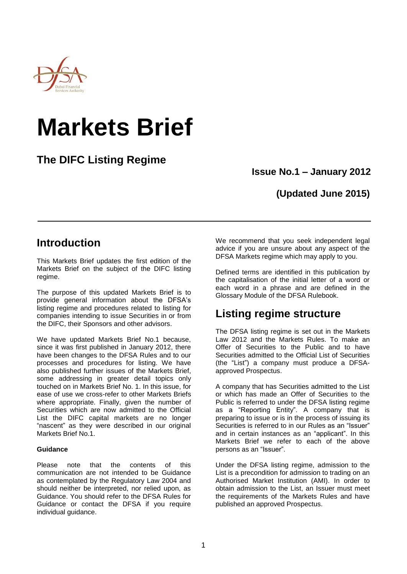

# **Markets Brief**

# **The DIFC Listing Regime**

**Issue No.1 – January 2012**

## **(Updated June 2015)**

## **Introduction**

This Markets Brief updates the first edition of the Markets Brief on the subject of the DIFC listing regime.

The purpose of this updated Markets Brief is to provide general information about the DFSA's listing regime and procedures related to listing for companies intending to issue Securities in or from the DIFC, their Sponsors and other advisors.

We have updated Markets Brief No.1 because, since it was first published in January 2012, there have been changes to the DFSA Rules and to our processes and procedures for listing. We have also published further issues of the Markets Brief, some addressing in greater detail topics only touched on in Markets Brief No. 1. In this issue, for ease of use we cross-refer to other Markets Briefs where appropriate. Finally, given the number of Securities which are now admitted to the Official List the DIFC capital markets are no longer "nascent" as they were described in our original Markets Brief No.1.

## **Guidance**

Please note that the contents of this communication are not intended to be Guidance as contemplated by the Regulatory Law 2004 and should neither be interpreted, nor relied upon, as Guidance. You should refer to the DFSA Rules for Guidance or contact the DFSA if you require individual guidance.

We recommend that you seek independent legal advice if you are unsure about any aspect of the DFSA Markets regime which may apply to you.

Defined terms are identified in this publication by the capitalisation of the initial letter of a word or each word in a phrase and are defined in the Glossary Module of the DFSA Rulebook.

# **Listing regime structure**

The DFSA listing regime is set out in the Markets Law 2012 and the Markets Rules. To make an Offer of Securities to the Public and to have Securities admitted to the Official List of Securities (the "List") a company must produce a DFSAapproved Prospectus.

A company that has Securities admitted to the List or which has made an Offer of Securities to the Public is referred to under the DFSA listing regime as a "Reporting Entity". A company that is preparing to issue or is in the process of issuing its Securities is referred to in our Rules as an "Issuer" and in certain instances as an "applicant". In this Markets Brief we refer to each of the above persons as an "Issuer".

Under the DFSA listing regime, admission to the List is a precondition for admission to trading on an Authorised Market Institution (AMI). In order to obtain admission to the List, an Issuer must meet the requirements of the Markets Rules and have published an approved Prospectus.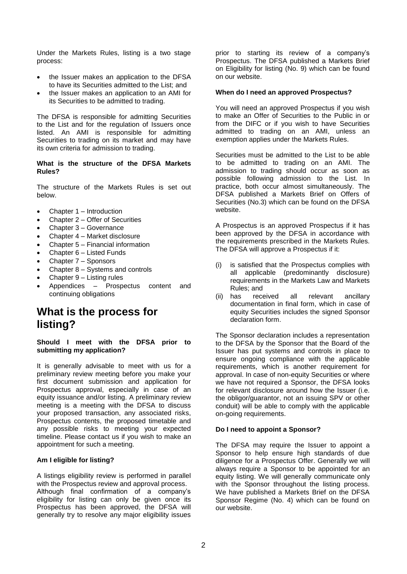Under the Markets Rules, listing is a two stage process:

- the Issuer makes an application to the DFSA to have its Securities admitted to the List; and
- the Issuer makes an application to an AMI for its Securities to be admitted to trading.

The DFSA is responsible for admitting Securities to the List and for the regulation of Issuers once listed. An AMI is responsible for admitting Securities to trading on its market and may have its own criteria for admission to trading.

#### **What is the structure of the DFSA Markets Rules?**

The structure of the Markets Rules is set out below.

- Chapter 1 Introduction
- Chapter 2 Offer of Securities
- Chapter 3 Governance
- Chapter 4 Market disclosure
- Chapter 5 Financial information
- Chapter 6 Listed Funds
- Chapter 7 Sponsors
- Chapter 8 Systems and controls
- Chapter 9 Listing rules
- Appendices Prospectus content and continuing obligations

# **What is the process for listing?**

**Should I meet with the DFSA prior to submitting my application?**

It is generally advisable to meet with us for a preliminary review meeting before you make your first document submission and application for Prospectus approval, especially in case of an equity issuance and/or listing. A preliminary review meeting is a meeting with the DFSA to discuss your proposed transaction, any associated risks, Prospectus contents, the proposed timetable and any possible risks to meeting your expected timeline. Please contact us if you wish to make an appointment for such a meeting.

## **Am I eligible for listing?**

A listings eligibility review is performed in parallel with the Prospectus review and approval process. Although final confirmation of a company's eligibility for listing can only be given once its Prospectus has been approved, the DFSA will generally try to resolve any major eligibility issues

prior to starting its review of a company's Prospectus. The DFSA published a Markets Brief on Eligibility for listing (No. 9) which can be found on our website.

#### **When do I need an approved Prospectus?**

You will need an approved Prospectus if you wish to make an Offer of Securities to the Public in or from the DIFC or if you wish to have Securities admitted to trading on an AMI, unless an exemption applies under the Markets Rules.

Securities must be admitted to the List to be able to be admitted to trading on an AMI. The admission to trading should occur as soon as possible following admission to the List. In practice, both occur almost simultaneously. The DFSA published a Markets Brief on Offers of Securities (No.3) which can be found on the DFSA website.

A Prospectus is an approved Prospectus if it has been approved by the DFSA in accordance with the requirements prescribed in the Markets Rules. The DFSA will approve a Prospectus if it:

- (i) is satisfied that the Prospectus complies with all applicable (predominantly disclosure) requirements in the Markets Law and Markets Rules; and
- (ii) has received all relevant ancillary documentation in final form, which in case of equity Securities includes the signed Sponsor declaration form.

The Sponsor declaration includes a representation to the DFSA by the Sponsor that the Board of the Issuer has put systems and controls in place to ensure ongoing compliance with the applicable requirements, which is another requirement for approval. In case of non-equity Securities or where we have not required a Sponsor, the DFSA looks for relevant disclosure around how the Issuer (i.e. the obligor/guarantor, not an issuing SPV or other conduit) will be able to comply with the applicable on-going requirements.

## **Do I need to appoint a Sponsor?**

The DFSA may require the Issuer to appoint a Sponsor to help ensure high standards of due diligence for a Prospectus Offer. Generally we will always require a Sponsor to be appointed for an equity listing. We will generally communicate only with the Sponsor throughout the listing process. We have published a Markets Brief on the DFSA Sponsor Regime (No. 4) which can be found on our website.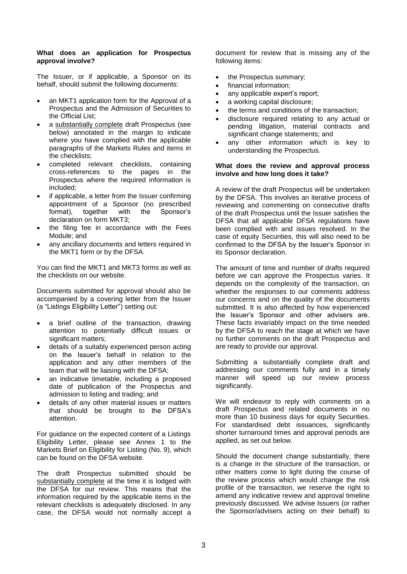## **What does an application for Prospectus approval involve?**

The Issuer, or if applicable, a Sponsor on its behalf, should submit the following documents:

- an MKT1 application form for the Approval of a Prospectus and the Admission of Securities to the Official List;
- a substantially complete draft Prospectus (see below) annotated in the margin to indicate where you have complied with the applicable paragraphs of the Markets Rules and items in the checklists;
- completed relevant checklists, containing cross-references to the pages in the Prospectus where the required information is included;
- if applicable, a letter from the Issuer confirming appointment of a Sponsor (no prescribed format), together with the Sponsor's declaration on form MKT3;
- the filing fee in accordance with the Fees Module; and
- any ancillary documents and letters required in the MKT1 form or by the DFSA.

You can find the MKT1 and MKT3 forms as well as the checklists on our website.

Documents submitted for approval should also be accompanied by a covering letter from the Issuer (a "Listings Eligibility Letter") setting out:

- a brief outline of the transaction, drawing attention to potentially difficult issues or significant matters;
- details of a suitably experienced person acting on the Issuer's behalf in relation to the application and any other members of the team that will be liaising with the DFSA;
- an indicative timetable, including a proposed date of publication of the Prospectus and admission to listing and trading; and
- details of any other material issues or matters that should be brought to the DFSA's attention.

For guidance on the expected content of a Listings Eligibility Letter, please see Annex 1 to the Markets Brief on Eligibility for Listing (No. 9), which can be found on the DFSA website.

The draft Prospectus submitted should be substantially complete at the time it is lodged with the DFSA for our review. This means that the information required by the applicable items in the relevant checklists is adequately disclosed. In any case, the DFSA would not normally accept a

document for review that is missing any of the following items:

- the Prospectus summary:
- financial information;
- any applicable expert's report;
- a working capital disclosure;
- the terms and conditions of the transaction;
- disclosure required relating to any actual or pending litigation, material contracts and significant change statements; and
- any other information which is key to understanding the Prospectus.

## **What does the review and approval process involve and how long does it take?**

A review of the draft Prospectus will be undertaken by the DFSA. This involves an iterative process of reviewing and commenting on consecutive drafts of the draft Prospectus until the Issuer satisfies the DFSA that all applicable DFSA regulations have been complied with and issues resolved. In the case of equity Securities, this will also need to be confirmed to the DFSA by the Issuer's Sponsor in its Sponsor declaration.

The amount of time and number of drafts required before we can approve the Prospectus varies. It depends on the complexity of the transaction, on whether the responses to our comments address our concerns and on the quality of the documents submitted. It is also affected by how experienced the Issuer's Sponsor and other advisers are. These facts invariably impact on the time needed by the DFSA to reach the stage at which we have no further comments on the draft Prospectus and are ready to provide our approval.

Submitting a substantially complete draft and addressing our comments fully and in a timely manner will speed up our review process significantly.

We will endeavor to reply with comments on a draft Prospectus and related documents in no more than 10 business days for equity Securities. For standardised debt issuances, significantly shorter turnaround times and approval periods are applied, as set out below.

Should the document change substantially, there is a change in the structure of the transaction, or other matters come to light during the course of the review process which would change the risk profile of the transaction, we reserve the right to amend any indicative review and approval timeline previously discussed. We advise Issuers (or rather the Sponsor/advisers acting on their behalf) to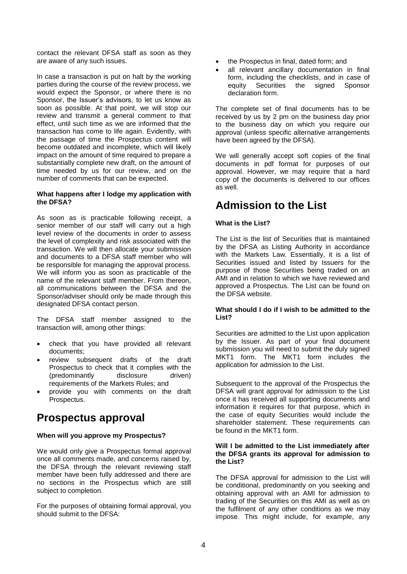contact the relevant DFSA staff as soon as they are aware of any such issues.

In case a transaction is put on halt by the working parties during the course of the review process, we would expect the Sponsor, or where there is no Sponsor, the Issuer's advisors, to let us know as soon as possible. At that point, we will stop our review and transmit a general comment to that effect, until such time as we are informed that the transaction has come to life again. Evidently, with the passage of time the Prospectus content will become outdated and incomplete, which will likely impact on the amount of time required to prepare a substantially complete new draft, on the amount of time needed by us for our review, and on the number of comments that can be expected.

#### **What happens after I lodge my application with the DFSA?**

As soon as is practicable following receipt, a senior member of our staff will carry out a high level review of the documents in order to assess the level of complexity and risk associated with the transaction. We will then allocate your submission and documents to a DFSA staff member who will be responsible for managing the approval process. We will inform you as soon as practicable of the name of the relevant staff member. From thereon, all communications between the DFSA and the Sponsor/adviser should only be made through this designated DFSA contact person.

The DFSA staff member assigned to the transaction will, among other things:

- check that you have provided all relevant documents;
- review subsequent drafts of the draft Prospectus to check that it complies with the (predominantly disclosure driven) requirements of the Markets Rules; and
- provide you with comments on the draft Prospectus.

## **Prospectus approval**

## **When will you approve my Prospectus?**

We would only give a Prospectus formal approval once all comments made, and concerns raised by, the DFSA through the relevant reviewing staff member have been fully addressed and there are no sections in the Prospectus which are still subject to completion.

For the purposes of obtaining formal approval, you should submit to the DFSA:

- the Prospectus in final, dated form; and
- all relevant ancillary documentation in final form, including the checklists, and in case of<br>equity Securities the signed Sponsor equity Securities the signed Sponsor declaration form.

The complete set of final documents has to be received by us by 2 pm on the business day prior to the business day on which you require our approval (unless specific alternative arrangements have been agreed by the DFSA).

We will generally accept soft copies of the final documents in pdf format for purposes of our approval. However, we may require that a hard copy of the documents is delivered to our offices as well.

# **Admission to the List**

## **What is the List?**

The List is the list of Securities that is maintained by the DFSA as Listing Authority in accordance with the Markets Law. Essentially, it is a list of Securities issued and listed by Issuers for the purpose of those Securities being traded on an AMI and in relation to which we have reviewed and approved a Prospectus. The List can be found on the DFSA website.

## **What should I do if I wish to be admitted to the List?**

Securities are admitted to the List upon application by the Issuer. As part of your final document submission you will need to submit the duly signed MKT1 form. The MKT1 form includes the application for admission to the List.

Subsequent to the approval of the Prospectus the DFSA will grant approval for admission to the List once it has received all supporting documents and information it requires for that purpose, which in the case of equity Securities would include the shareholder statement. These requirements can be found in the MKT1 form.

#### **Will I be admitted to the List immediately after the DFSA grants its approval for admission to the List?**

The DFSA approval for admission to the List will be conditional, predominantly on you seeking and obtaining approval with an AMI for admission to trading of the Securities on this AMI as well as on the fulfilment of any other conditions as we may impose. This might include, for example, any